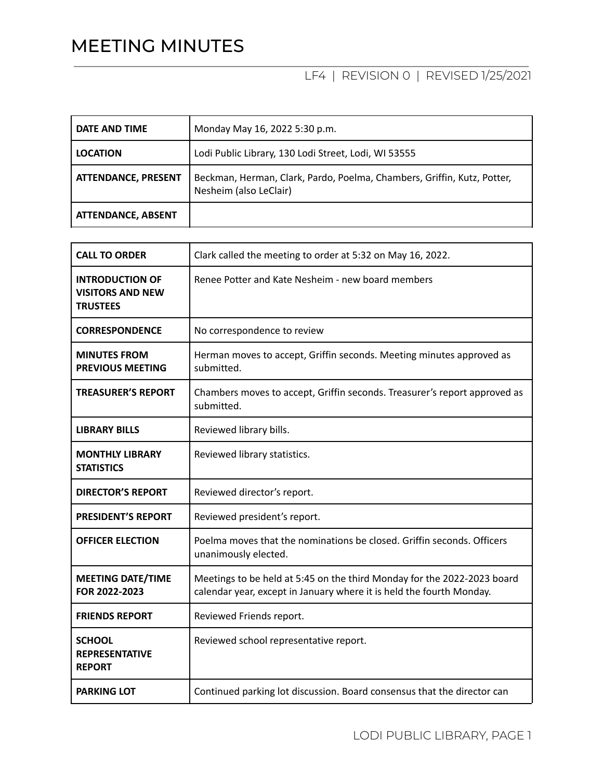## MEETING MINUTES

## LF4 | REVISION 0 | REVISED 1/25/2021

| DATE AND TIME              | Monday May 16, 2022 5:30 p.m.                                                                     |
|----------------------------|---------------------------------------------------------------------------------------------------|
| <b>LOCATION</b>            | Lodi Public Library, 130 Lodi Street, Lodi, WI 53555                                              |
| <b>ATTENDANCE, PRESENT</b> | Beckman, Herman, Clark, Pardo, Poelma, Chambers, Griffin, Kutz, Potter,<br>Nesheim (also LeClair) |
| <b>ATTENDANCE, ABSENT</b>  |                                                                                                   |

| <b>CALL TO ORDER</b>                                                 | Clark called the meeting to order at 5:32 on May 16, 2022.                                                                                      |
|----------------------------------------------------------------------|-------------------------------------------------------------------------------------------------------------------------------------------------|
| <b>INTRODUCTION OF</b><br><b>VISITORS AND NEW</b><br><b>TRUSTEES</b> | Renee Potter and Kate Nesheim - new board members                                                                                               |
| <b>CORRESPONDENCE</b>                                                | No correspondence to review                                                                                                                     |
| <b>MINUTES FROM</b><br><b>PREVIOUS MEETING</b>                       | Herman moves to accept, Griffin seconds. Meeting minutes approved as<br>submitted.                                                              |
| <b>TREASURER'S REPORT</b>                                            | Chambers moves to accept, Griffin seconds. Treasurer's report approved as<br>submitted.                                                         |
| <b>LIBRARY BILLS</b>                                                 | Reviewed library bills.                                                                                                                         |
| <b>MONTHLY LIBRARY</b><br><b>STATISTICS</b>                          | Reviewed library statistics.                                                                                                                    |
| <b>DIRECTOR'S REPORT</b>                                             | Reviewed director's report.                                                                                                                     |
| <b>PRESIDENT'S REPORT</b>                                            | Reviewed president's report.                                                                                                                    |
| <b>OFFICER ELECTION</b>                                              | Poelma moves that the nominations be closed. Griffin seconds. Officers<br>unanimously elected.                                                  |
| <b>MEETING DATE/TIME</b><br>FOR 2022-2023                            | Meetings to be held at 5:45 on the third Monday for the 2022-2023 board<br>calendar year, except in January where it is held the fourth Monday. |
| <b>FRIENDS REPORT</b>                                                | Reviewed Friends report.                                                                                                                        |
| <b>SCHOOL</b><br><b>REPRESENTATIVE</b><br><b>REPORT</b>              | Reviewed school representative report.                                                                                                          |
| <b>PARKING LOT</b>                                                   | Continued parking lot discussion. Board consensus that the director can                                                                         |